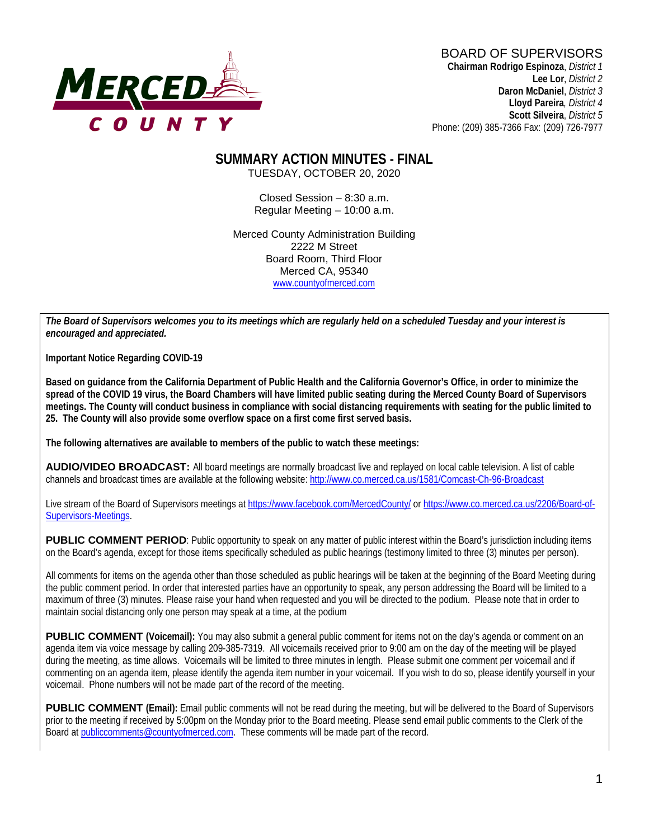

# BOARD OF SUPERVISORS

**Chairman Rodrigo Espinoza**, *District 1* **Lee Lor**, *District 2*  **Daron McDaniel**, *District 3* **Lloyd Pareira***, District 4*  **Scott Silveira**, *District 5* Phone: (209) 385-7366 Fax: (209) 726-7977

#### **SUMMARY ACTION MINUTES - FINAL** TUESDAY, OCTOBER 20, 2020

Closed Session – 8:30 a.m. Regular Meeting – 10:00 a.m.

Merced County Administration Building 2222 M Street Board Room, Third Floor Merced CA, 95340 www.countyofmerced.com

*The Board of Supervisors welcomes you to its meetings which are regularly held on a scheduled Tuesday and your interest is encouraged and appreciated.*

**Important Notice Regarding COVID-19**

**Based on guidance from the California Department of Public Health and the California Governor's Office, in order to minimize the spread of the COVID 19 virus, the Board Chambers will have limited public seating during the Merced County Board of Supervisors meetings. The County will conduct business in compliance with social distancing requirements with seating for the public limited to 25. The County will also provide some overflow space on a first come first served basis.**

**The following alternatives are available to members of the public to watch these meetings:**

**AUDIO/VIDEO BROADCAST:** All board meetings are normally broadcast live and replayed on local cable television. A list of cable channels and broadcast times are available at the following website[: http://www.co.merced.ca.us/1581/Comcast-Ch-96-Broadcast](http://www.co.merced.ca.us/1581/Comcast-Ch-96-Broadcast)

Live stream of the Board of Supervisors meetings at<https://www.facebook.com/MercedCounty/> o[r https://www.co.merced.ca.us/2206/Board-of-](https://www.co.merced.ca.us/2206/Board-of-Supervisors-Meetings)[Supervisors-Meetings.](https://www.co.merced.ca.us/2206/Board-of-Supervisors-Meetings)

**PUBLIC COMMENT PERIOD:** Public opportunity to speak on any matter of public interest within the Board's jurisdiction including items on the Board's agenda, except for those items specifically scheduled as public hearings (testimony limited to three (3) minutes per person).

All comments for items on the agenda other than those scheduled as public hearings will be taken at the beginning of the Board Meeting during the public comment period. In order that interested parties have an opportunity to speak, any person addressing the Board will be limited to a maximum of three (3) minutes. Please raise your hand when requested and you will be directed to the podium. Please note that in order to maintain social distancing only one person may speak at a time, at the podium

**PUBLIC COMMENT (Voicemail):** You may also submit a general public comment for items not on the day's agenda or comment on an agenda item via voice message by calling 209-385-7319. All voicemails received prior to 9:00 am on the day of the meeting will be played during the meeting, as time allows. Voicemails will be limited to three minutes in length. Please submit one comment per voicemail and if commenting on an agenda item, please identify the agenda item number in your voicemail. If you wish to do so, please identify yourself in your voicemail. Phone numbers will not be made part of the record of the meeting.

**PUBLIC COMMENT (Email):** Email public comments will not be read during the meeting, but will be delivered to the Board of Supervisors prior to the meeting if received by 5:00pm on the Monday prior to the Board meeting. Please send email public comments to the Clerk of the Board a[t publiccomments@countyofmerced.com.](mailto:publiccomments@countyofmerced.com) These comments will be made part of the record.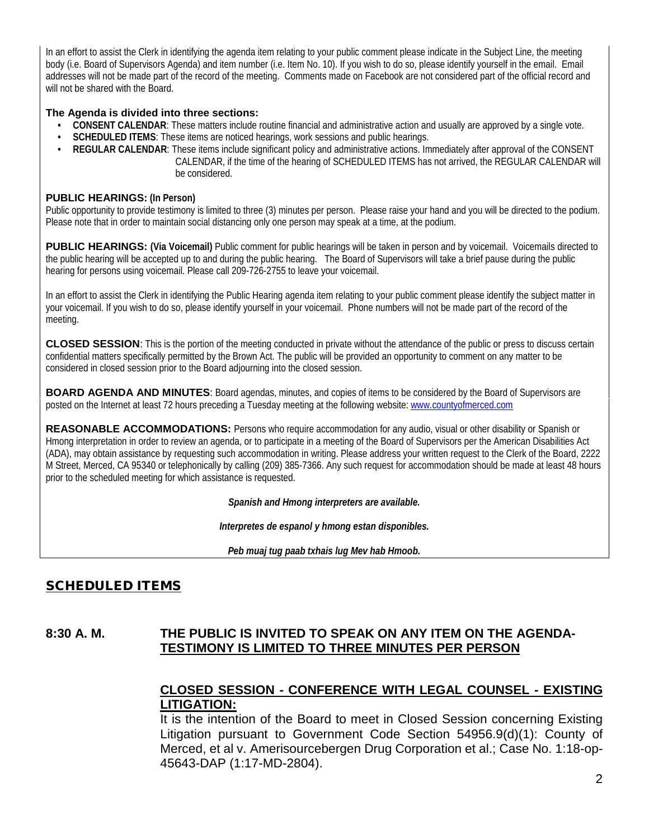In an effort to assist the Clerk in identifying the agenda item relating to your public comment please indicate in the Subject Line, the meeting body (i.e. Board of Supervisors Agenda) and item number (i.e. Item No. 10). If you wish to do so, please identify yourself in the email. Email addresses will not be made part of the record of the meeting. Comments made on Facebook are not considered part of the official record and will not be shared with the Board.

#### **The Agenda is divided into three sections:**

- **CONSENT CALENDAR**: These matters include routine financial and administrative action and usually are approved by a single vote.
- **SCHEDULED ITEMS**: These items are noticed hearings, work sessions and public hearings.
- **REGULAR CALENDAR**: These items include significant policy and administrative actions. Immediately after approval of the CONSENT CALENDAR, if the time of the hearing of SCHEDULED ITEMS has not arrived, the REGULAR CALENDAR will be considered.

#### **PUBLIC HEARINGS: (In Person)**

Public opportunity to provide testimony is limited to three (3) minutes per person. Please raise your hand and you will be directed to the podium. Please note that in order to maintain social distancing only one person may speak at a time, at the podium.

**PUBLIC HEARINGS:** (Via Voicemail) Public comment for public hearings will be taken in person and by voicemail. Voicemails directed to the public hearing will be accepted up to and during the public hearing. The Board of Supervisors will take a brief pause during the public hearing for persons using voicemail. Please call 209-726-2755 to leave your voicemail.

In an effort to assist the Clerk in identifying the Public Hearing agenda item relating to your public comment please identify the subject matter in your voicemail. If you wish to do so, please identify yourself in your voicemail. Phone numbers will not be made part of the record of the meeting.

**CLOSED SESSION**: This is the portion of the meeting conducted in private without the attendance of the public or press to discuss certain confidential matters specifically permitted by the Brown Act. The public will be provided an opportunity to comment on any matter to be considered in closed session prior to the Board adjourning into the closed session.

**BOARD AGENDA AND MINUTES:** Board agendas, minutes, and copies of items to be considered by the Board of Supervisors are posted on the Internet at least 72 hours preceding a Tuesday meeting at the following website: [www.countyofmerced.com](http://www.countyofmerced.com/) 

**REASONABLE ACCOMMODATIONS:** Persons who require accommodation for any audio, visual or other disability or Spanish or Hmong interpretation in order to review an agenda, or to participate in a meeting of the Board of Supervisors per the American Disabilities Act (ADA), may obtain assistance by requesting such accommodation in writing. Please address your written request to the Clerk of the Board, 2222 M Street, Merced, CA 95340 or telephonically by calling (209) 385-7366. Any such request for accommodation should be made at least 48 hours prior to the scheduled meeting for which assistance is requested.

*Spanish and Hmong interpreters are available.*

*Interpretes de espanol y hmong estan disponibles.*

*Peb muaj tug paab txhais lug Mev hab Hmoob.* 

# SCHEDULED ITEMS

#### **8:30 A. M. THE PUBLIC IS INVITED TO SPEAK ON ANY ITEM ON THE AGENDA-TESTIMONY IS LIMITED TO THREE MINUTES PER PERSON**

### **CLOSED SESSION - CONFERENCE WITH LEGAL COUNSEL - EXISTING LITIGATION:**

It is the intention of the Board to meet in Closed Session concerning Existing Litigation pursuant to Government Code Section 54956.9(d)(1): County of Merced, et al v. Amerisourcebergen Drug Corporation et al.; Case No. 1:18-op-45643-DAP (1:17-MD-2804).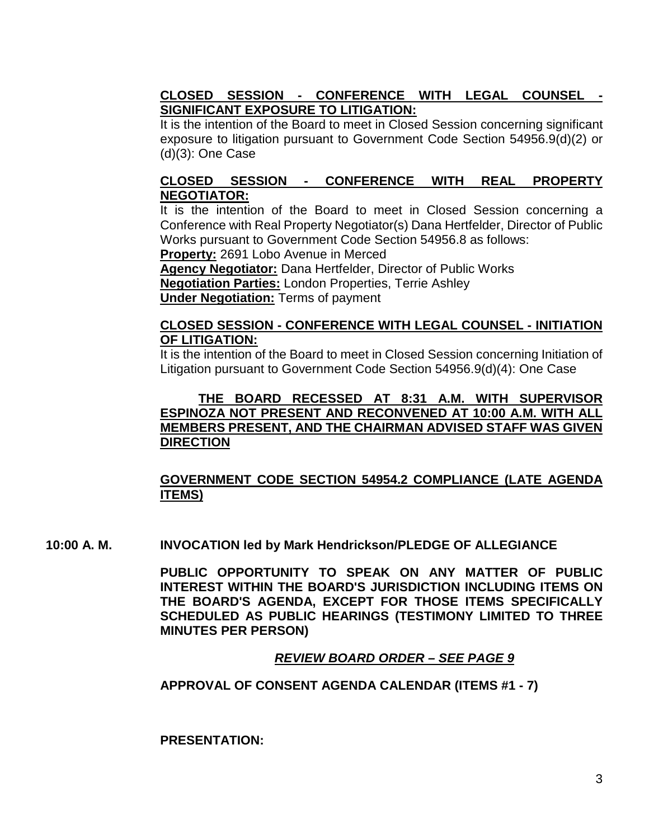### **CLOSED SESSION - CONFERENCE WITH LEGAL COUNSEL - SIGNIFICANT EXPOSURE TO LITIGATION:**

It is the intention of the Board to meet in Closed Session concerning significant exposure to litigation pursuant to Government Code Section 54956.9(d)(2) or (d)(3): One Case

### **CLOSED SESSION - CONFERENCE WITH REAL PROPERTY NEGOTIATOR:**

It is the intention of the Board to meet in Closed Session concerning a Conference with Real Property Negotiator(s) Dana Hertfelder, Director of Public Works pursuant to Government Code Section 54956.8 as follows:

**Property:** 2691 Lobo Avenue in Merced

**Agency Negotiator:** Dana Hertfelder, Director of Public Works **Negotiation Parties:** London Properties, Terrie Ashley **Under Negotiation:** Terms of payment

#### **CLOSED SESSION - CONFERENCE WITH LEGAL COUNSEL - INITIATION OF LITIGATION:**

It is the intention of the Board to meet in Closed Session concerning Initiation of Litigation pursuant to Government Code Section 54956.9(d)(4): One Case

### **THE BOARD RECESSED AT 8:31 A.M. WITH SUPERVISOR ESPINOZA NOT PRESENT AND RECONVENED AT 10:00 A.M. WITH ALL MEMBERS PRESENT, AND THE CHAIRMAN ADVISED STAFF WAS GIVEN DIRECTION**

## **GOVERNMENT CODE SECTION 54954.2 COMPLIANCE (LATE AGENDA ITEMS)**

**10:00 A. M. INVOCATION led by Mark Hendrickson/PLEDGE OF ALLEGIANCE**

**PUBLIC OPPORTUNITY TO SPEAK ON ANY MATTER OF PUBLIC INTEREST WITHIN THE BOARD'S JURISDICTION INCLUDING ITEMS ON THE BOARD'S AGENDA, EXCEPT FOR THOSE ITEMS SPECIFICALLY SCHEDULED AS PUBLIC HEARINGS (TESTIMONY LIMITED TO THREE MINUTES PER PERSON)**

### *REVIEW BOARD ORDER – SEE PAGE 9*

#### **APPROVAL OF CONSENT AGENDA CALENDAR (ITEMS #1 - 7)**

**PRESENTATION:**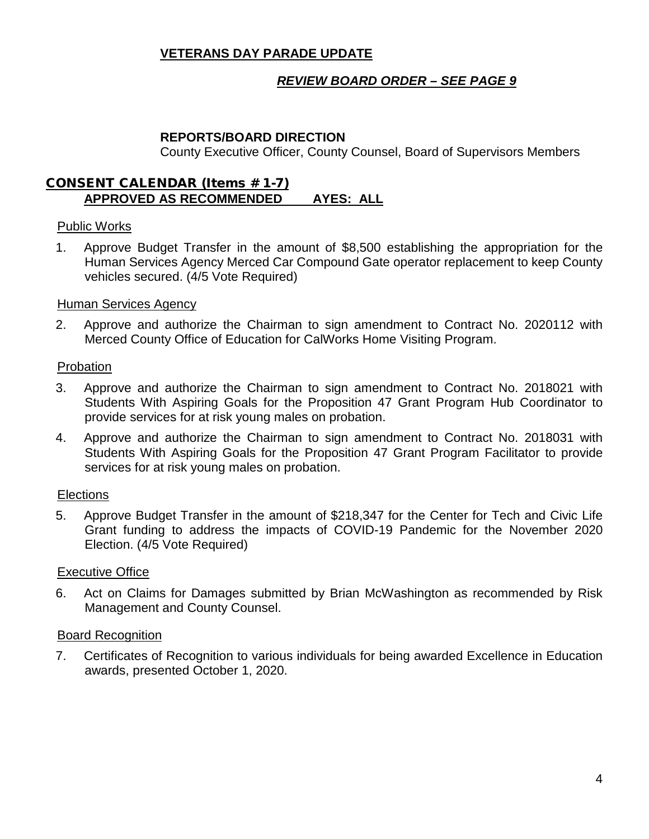### **VETERANS DAY PARADE UPDATE**

### *REVIEW BOARD ORDER – SEE PAGE 9*

#### **REPORTS/BOARD DIRECTION**

County Executive Officer, County Counsel, Board of Supervisors Members

#### CONSENT CALENDAR (Items # 1-7) **APPROVED AS RECOMMENDED AYES: ALL**

#### Public Works

1. Approve Budget Transfer in the amount of \$8,500 establishing the appropriation for the Human Services Agency Merced Car Compound Gate operator replacement to keep County vehicles secured. (4/5 Vote Required)

#### Human Services Agency

2. Approve and authorize the Chairman to sign amendment to Contract No. 2020112 with Merced County Office of Education for CalWorks Home Visiting Program.

#### Probation

- 3. Approve and authorize the Chairman to sign amendment to Contract No. 2018021 with Students With Aspiring Goals for the Proposition 47 Grant Program Hub Coordinator to provide services for at risk young males on probation.
- 4. Approve and authorize the Chairman to sign amendment to Contract No. 2018031 with Students With Aspiring Goals for the Proposition 47 Grant Program Facilitator to provide services for at risk young males on probation.

#### **Elections**

5. Approve Budget Transfer in the amount of \$218,347 for the Center for Tech and Civic Life Grant funding to address the impacts of COVID-19 Pandemic for the November 2020 Election. (4/5 Vote Required)

#### Executive Office

6. Act on Claims for Damages submitted by Brian McWashington as recommended by Risk Management and County Counsel.

#### Board Recognition

7. Certificates of Recognition to various individuals for being awarded Excellence in Education awards, presented October 1, 2020.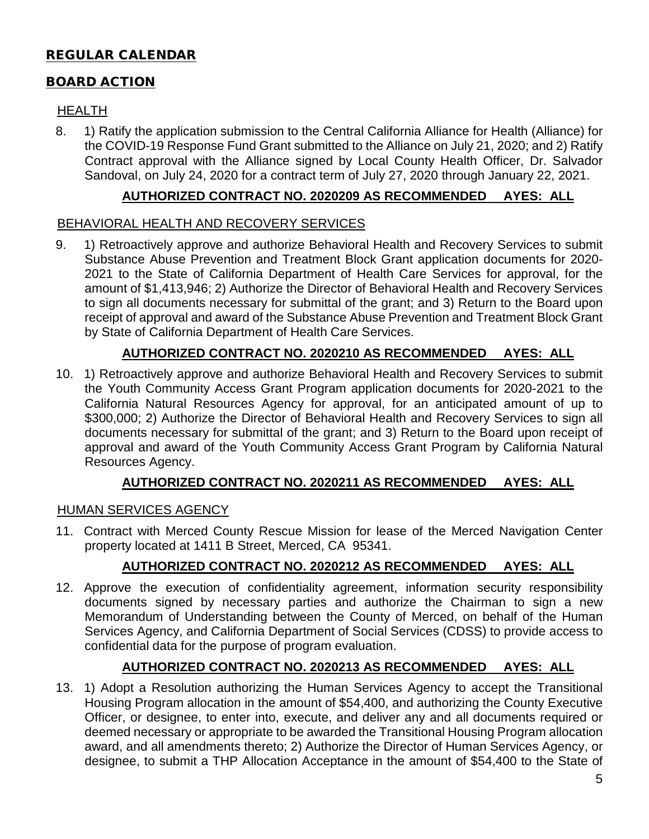# REGULAR CALENDAR

### BOARD ACTION

### HEALTH

8. 1) Ratify the application submission to the Central California Alliance for Health (Alliance) for the COVID-19 Response Fund Grant submitted to the Alliance on July 21, 2020; and 2) Ratify Contract approval with the Alliance signed by Local County Health Officer, Dr. Salvador Sandoval, on July 24, 2020 for a contract term of July 27, 2020 through January 22, 2021.

### **AUTHORIZED CONTRACT NO. 2020209 AS RECOMMENDED AYES: ALL**

### BEHAVIORAL HEALTH AND RECOVERY SERVICES

9. 1) Retroactively approve and authorize Behavioral Health and Recovery Services to submit Substance Abuse Prevention and Treatment Block Grant application documents for 2020- 2021 to the State of California Department of Health Care Services for approval, for the amount of \$1,413,946; 2) Authorize the Director of Behavioral Health and Recovery Services to sign all documents necessary for submittal of the grant; and 3) Return to the Board upon receipt of approval and award of the Substance Abuse Prevention and Treatment Block Grant by State of California Department of Health Care Services.

# **AUTHORIZED CONTRACT NO. 2020210 AS RECOMMENDED AYES: ALL**

10. 1) Retroactively approve and authorize Behavioral Health and Recovery Services to submit the Youth Community Access Grant Program application documents for 2020-2021 to the California Natural Resources Agency for approval, for an anticipated amount of up to \$300,000; 2) Authorize the Director of Behavioral Health and Recovery Services to sign all documents necessary for submittal of the grant; and 3) Return to the Board upon receipt of approval and award of the Youth Community Access Grant Program by California Natural Resources Agency.

### **AUTHORIZED CONTRACT NO. 2020211 AS RECOMMENDED AYES: ALL**

#### HUMAN SERVICES AGENCY

11. Contract with Merced County Rescue Mission for lease of the Merced Navigation Center property located at 1411 B Street, Merced, CA 95341.

### **AUTHORIZED CONTRACT NO. 2020212 AS RECOMMENDED AYES: ALL**

12. Approve the execution of confidentiality agreement, information security responsibility documents signed by necessary parties and authorize the Chairman to sign a new Memorandum of Understanding between the County of Merced, on behalf of the Human Services Agency, and California Department of Social Services (CDSS) to provide access to confidential data for the purpose of program evaluation.

### **AUTHORIZED CONTRACT NO. 2020213 AS RECOMMENDED AYES: ALL**

13. 1) Adopt a Resolution authorizing the Human Services Agency to accept the Transitional Housing Program allocation in the amount of \$54,400, and authorizing the County Executive Officer, or designee, to enter into, execute, and deliver any and all documents required or deemed necessary or appropriate to be awarded the Transitional Housing Program allocation award, and all amendments thereto; 2) Authorize the Director of Human Services Agency, or designee, to submit a THP Allocation Acceptance in the amount of \$54,400 to the State of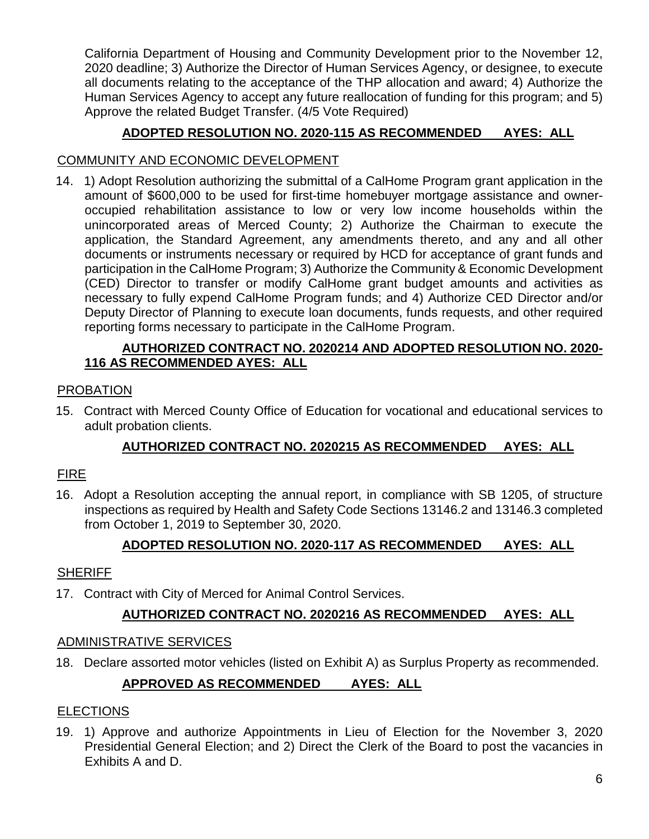California Department of Housing and Community Development prior to the November 12, 2020 deadline; 3) Authorize the Director of Human Services Agency, or designee, to execute all documents relating to the acceptance of the THP allocation and award; 4) Authorize the Human Services Agency to accept any future reallocation of funding for this program; and 5) Approve the related Budget Transfer. (4/5 Vote Required)

# **ADOPTED RESOLUTION NO. 2020-115 AS RECOMMENDED AYES: ALL**

### COMMUNITY AND ECONOMIC DEVELOPMENT

14. 1) Adopt Resolution authorizing the submittal of a CalHome Program grant application in the amount of \$600,000 to be used for first-time homebuyer mortgage assistance and owneroccupied rehabilitation assistance to low or very low income households within the unincorporated areas of Merced County; 2) Authorize the Chairman to execute the application, the Standard Agreement, any amendments thereto, and any and all other documents or instruments necessary or required by HCD for acceptance of grant funds and participation in the CalHome Program; 3) Authorize the Community & Economic Development (CED) Director to transfer or modify CalHome grant budget amounts and activities as necessary to fully expend CalHome Program funds; and 4) Authorize CED Director and/or Deputy Director of Planning to execute loan documents, funds requests, and other required reporting forms necessary to participate in the CalHome Program.

### **AUTHORIZED CONTRACT NO. 2020214 AND ADOPTED RESOLUTION NO. 2020- 116 AS RECOMMENDED AYES: ALL**

### PROBATION

15. Contract with Merced County Office of Education for vocational and educational services to adult probation clients.

# **AUTHORIZED CONTRACT NO. 2020215 AS RECOMMENDED AYES: ALL**

# FIRE

16. Adopt a Resolution accepting the annual report, in compliance with SB 1205, of structure inspections as required by Health and Safety Code Sections 13146.2 and 13146.3 completed from October 1, 2019 to September 30, 2020.

### **ADOPTED RESOLUTION NO. 2020-117 AS RECOMMENDED AYES: ALL**

### **SHERIFF**

17. Contract with City of Merced for Animal Control Services.

### **AUTHORIZED CONTRACT NO. 2020216 AS RECOMMENDED AYES: ALL**

#### ADMINISTRATIVE SERVICES

18. Declare assorted motor vehicles (listed on Exhibit A) as Surplus Property as recommended.

# **APPROVED AS RECOMMENDED AYES: ALL**

#### **ELECTIONS**

19. 1) Approve and authorize Appointments in Lieu of Election for the November 3, 2020 Presidential General Election; and 2) Direct the Clerk of the Board to post the vacancies in Exhibits A and D.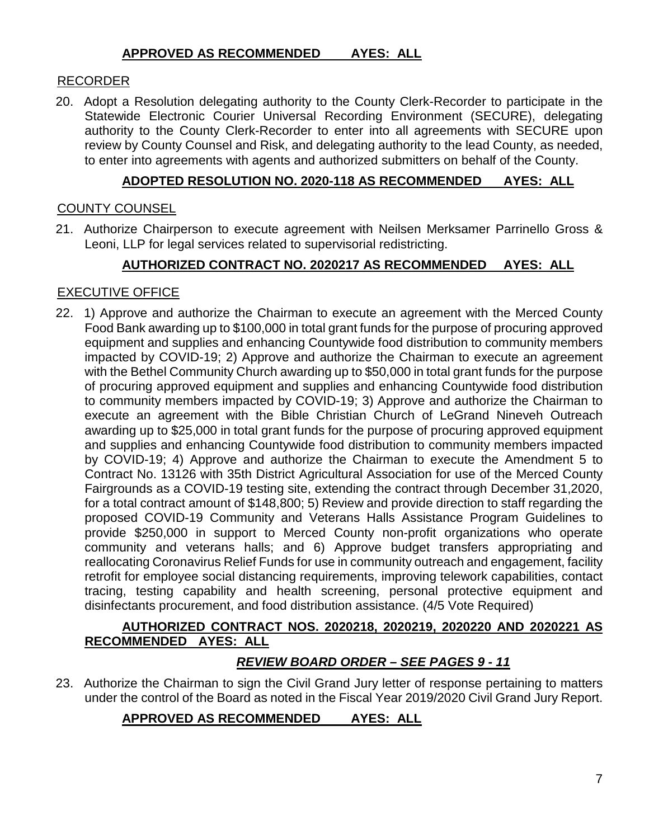#### **APPROVED AS RECOMMENDED AYES: ALL**

#### RECORDER

20. Adopt a Resolution delegating authority to the County Clerk-Recorder to participate in the Statewide Electronic Courier Universal Recording Environment (SECURE), delegating authority to the County Clerk-Recorder to enter into all agreements with SECURE upon review by County Counsel and Risk, and delegating authority to the lead County, as needed, to enter into agreements with agents and authorized submitters on behalf of the County.

#### **ADOPTED RESOLUTION NO. 2020-118 AS RECOMMENDED AYES: ALL**

#### COUNTY COUNSEL

21. Authorize Chairperson to execute agreement with Neilsen Merksamer Parrinello Gross & Leoni, LLP for legal services related to supervisorial redistricting.

### **AUTHORIZED CONTRACT NO. 2020217 AS RECOMMENDED AYES: ALL**

### EXECUTIVE OFFICE

22. 1) Approve and authorize the Chairman to execute an agreement with the Merced County Food Bank awarding up to \$100,000 in total grant funds for the purpose of procuring approved equipment and supplies and enhancing Countywide food distribution to community members impacted by COVID-19; 2) Approve and authorize the Chairman to execute an agreement with the Bethel Community Church awarding up to \$50,000 in total grant funds for the purpose of procuring approved equipment and supplies and enhancing Countywide food distribution to community members impacted by COVID-19; 3) Approve and authorize the Chairman to execute an agreement with the Bible Christian Church of LeGrand Nineveh Outreach awarding up to \$25,000 in total grant funds for the purpose of procuring approved equipment and supplies and enhancing Countywide food distribution to community members impacted by COVID-19; 4) Approve and authorize the Chairman to execute the Amendment 5 to Contract No. 13126 with 35th District Agricultural Association for use of the Merced County Fairgrounds as a COVID-19 testing site, extending the contract through December 31,2020, for a total contract amount of \$148,800; 5) Review and provide direction to staff regarding the proposed COVID-19 Community and Veterans Halls Assistance Program Guidelines to provide \$250,000 in support to Merced County non-profit organizations who operate community and veterans halls; and 6) Approve budget transfers appropriating and reallocating Coronavirus Relief Funds for use in community outreach and engagement, facility retrofit for employee social distancing requirements, improving telework capabilities, contact tracing, testing capability and health screening, personal protective equipment and disinfectants procurement, and food distribution assistance. (4/5 Vote Required)

#### **AUTHORIZED CONTRACT NOS. 2020218, 2020219, 2020220 AND 2020221 AS RECOMMENDED AYES: ALL**

### *REVIEW BOARD ORDER – SEE PAGES 9 - 11*

23. Authorize the Chairman to sign the Civil Grand Jury letter of response pertaining to matters under the control of the Board as noted in the Fiscal Year 2019/2020 Civil Grand Jury Report.

# **APPROVED AS RECOMMENDED AYES: ALL**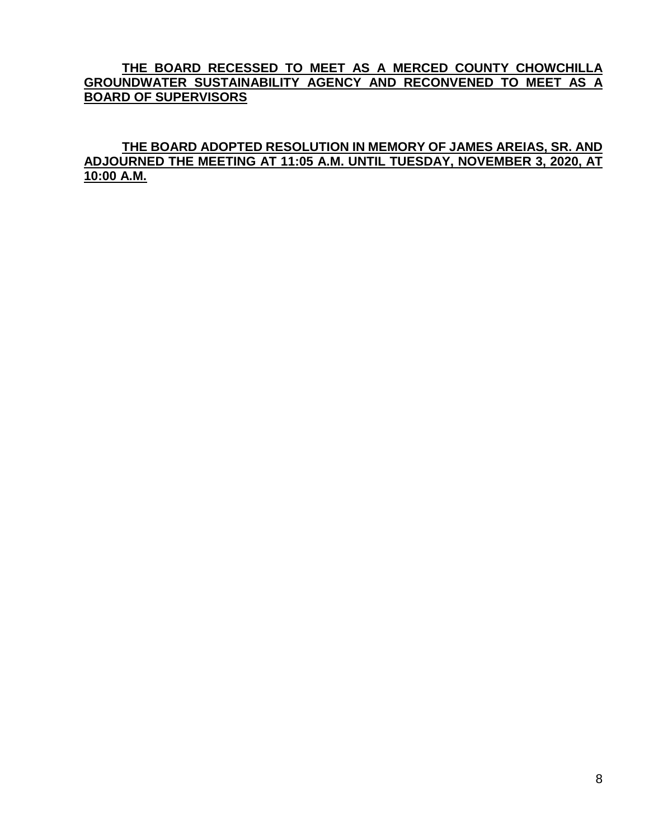#### **THE BOARD RECESSED TO MEET AS A MERCED COUNTY CHOWCHILLA GROUNDWATER SUSTAINABILITY AGENCY AND RECONVENED TO MEET AS A BOARD OF SUPERVISORS**

**THE BOARD ADOPTED RESOLUTION IN MEMORY OF JAMES AREIAS, SR. AND ADJOURNED THE MEETING AT 11:05 A.M. UNTIL TUESDAY, NOVEMBER 3, 2020, AT 10:00 A.M.**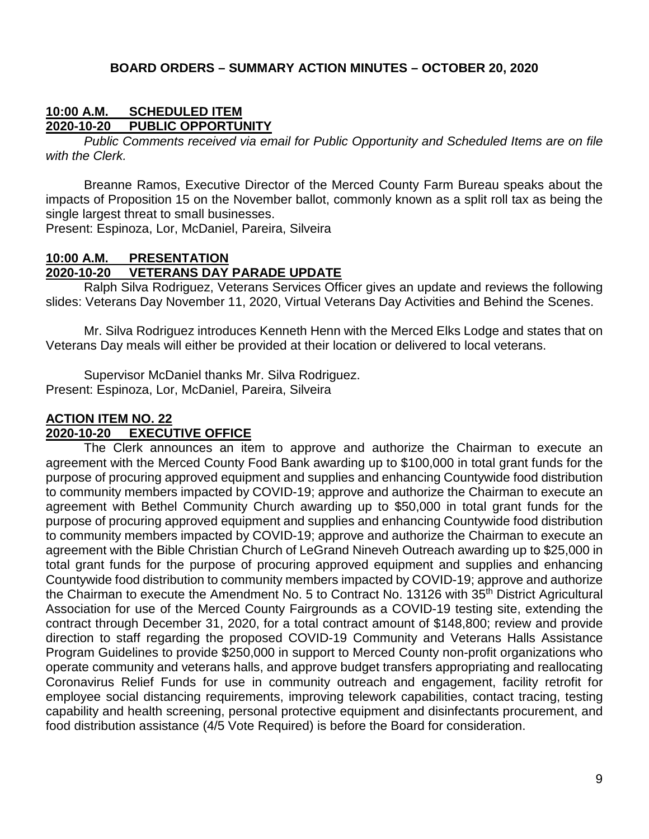#### **BOARD ORDERS – SUMMARY ACTION MINUTES – OCTOBER 20, 2020**

#### **10:00 A.M. SCHEDULED ITEM 2020-10-20 PUBLIC OPPORTUNITY**

*Public Comments received via email for Public Opportunity and Scheduled Items are on file with the Clerk.*

Breanne Ramos, Executive Director of the Merced County Farm Bureau speaks about the impacts of Proposition 15 on the November ballot, commonly known as a split roll tax as being the single largest threat to small businesses.

Present: Espinoza, Lor, McDaniel, Pareira, Silveira

### **10:00 A.M. PRESENTATION 2020-10-20 VETERANS DAY PARADE UPDATE**

Ralph Silva Rodriguez, Veterans Services Officer gives an update and reviews the following slides: Veterans Day November 11, 2020, Virtual Veterans Day Activities and Behind the Scenes.

Mr. Silva Rodriguez introduces Kenneth Henn with the Merced Elks Lodge and states that on Veterans Day meals will either be provided at their location or delivered to local veterans.

Supervisor McDaniel thanks Mr. Silva Rodriguez. Present: Espinoza, Lor, McDaniel, Pareira, Silveira

### **ACTION ITEM NO. 22 EXECUTIVE OFFICE**

The Clerk announces an item to approve and authorize the Chairman to execute an agreement with the Merced County Food Bank awarding up to \$100,000 in total grant funds for the purpose of procuring approved equipment and supplies and enhancing Countywide food distribution to community members impacted by COVID-19; approve and authorize the Chairman to execute an agreement with Bethel Community Church awarding up to \$50,000 in total grant funds for the purpose of procuring approved equipment and supplies and enhancing Countywide food distribution to community members impacted by COVID-19; approve and authorize the Chairman to execute an agreement with the Bible Christian Church of LeGrand Nineveh Outreach awarding up to \$25,000 in total grant funds for the purpose of procuring approved equipment and supplies and enhancing Countywide food distribution to community members impacted by COVID-19; approve and authorize the Chairman to execute the Amendment No. 5 to Contract No. 13126 with 35<sup>th</sup> District Agricultural Association for use of the Merced County Fairgrounds as a COVID-19 testing site, extending the contract through December 31, 2020, for a total contract amount of \$148,800; review and provide direction to staff regarding the proposed COVID-19 Community and Veterans Halls Assistance Program Guidelines to provide \$250,000 in support to Merced County non-profit organizations who operate community and veterans halls, and approve budget transfers appropriating and reallocating Coronavirus Relief Funds for use in community outreach and engagement, facility retrofit for employee social distancing requirements, improving telework capabilities, contact tracing, testing capability and health screening, personal protective equipment and disinfectants procurement, and food distribution assistance (4/5 Vote Required) is before the Board for consideration.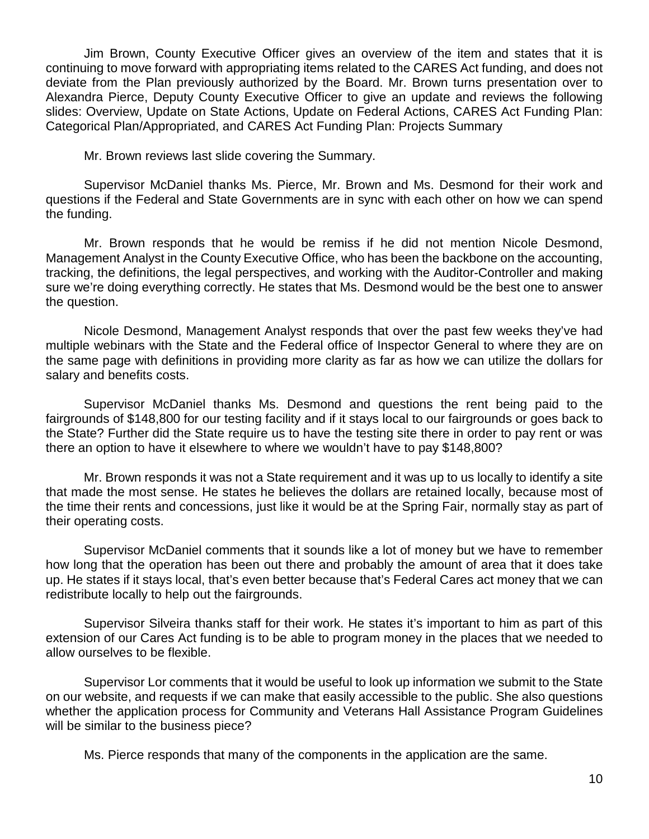Jim Brown, County Executive Officer gives an overview of the item and states that it is continuing to move forward with appropriating items related to the CARES Act funding, and does not deviate from the Plan previously authorized by the Board. Mr. Brown turns presentation over to Alexandra Pierce, Deputy County Executive Officer to give an update and reviews the following slides: Overview, Update on State Actions, Update on Federal Actions, CARES Act Funding Plan: Categorical Plan/Appropriated, and CARES Act Funding Plan: Projects Summary

Mr. Brown reviews last slide covering the Summary.

Supervisor McDaniel thanks Ms. Pierce, Mr. Brown and Ms. Desmond for their work and questions if the Federal and State Governments are in sync with each other on how we can spend the funding.

Mr. Brown responds that he would be remiss if he did not mention Nicole Desmond, Management Analyst in the County Executive Office, who has been the backbone on the accounting, tracking, the definitions, the legal perspectives, and working with the Auditor-Controller and making sure we're doing everything correctly. He states that Ms. Desmond would be the best one to answer the question.

Nicole Desmond, Management Analyst responds that over the past few weeks they've had multiple webinars with the State and the Federal office of Inspector General to where they are on the same page with definitions in providing more clarity as far as how we can utilize the dollars for salary and benefits costs.

Supervisor McDaniel thanks Ms. Desmond and questions the rent being paid to the fairgrounds of \$148,800 for our testing facility and if it stays local to our fairgrounds or goes back to the State? Further did the State require us to have the testing site there in order to pay rent or was there an option to have it elsewhere to where we wouldn't have to pay \$148,800?

Mr. Brown responds it was not a State requirement and it was up to us locally to identify a site that made the most sense. He states he believes the dollars are retained locally, because most of the time their rents and concessions, just like it would be at the Spring Fair, normally stay as part of their operating costs.

Supervisor McDaniel comments that it sounds like a lot of money but we have to remember how long that the operation has been out there and probably the amount of area that it does take up. He states if it stays local, that's even better because that's Federal Cares act money that we can redistribute locally to help out the fairgrounds.

Supervisor Silveira thanks staff for their work. He states it's important to him as part of this extension of our Cares Act funding is to be able to program money in the places that we needed to allow ourselves to be flexible.

Supervisor Lor comments that it would be useful to look up information we submit to the State on our website, and requests if we can make that easily accessible to the public. She also questions whether the application process for Community and Veterans Hall Assistance Program Guidelines will be similar to the business piece?

Ms. Pierce responds that many of the components in the application are the same.